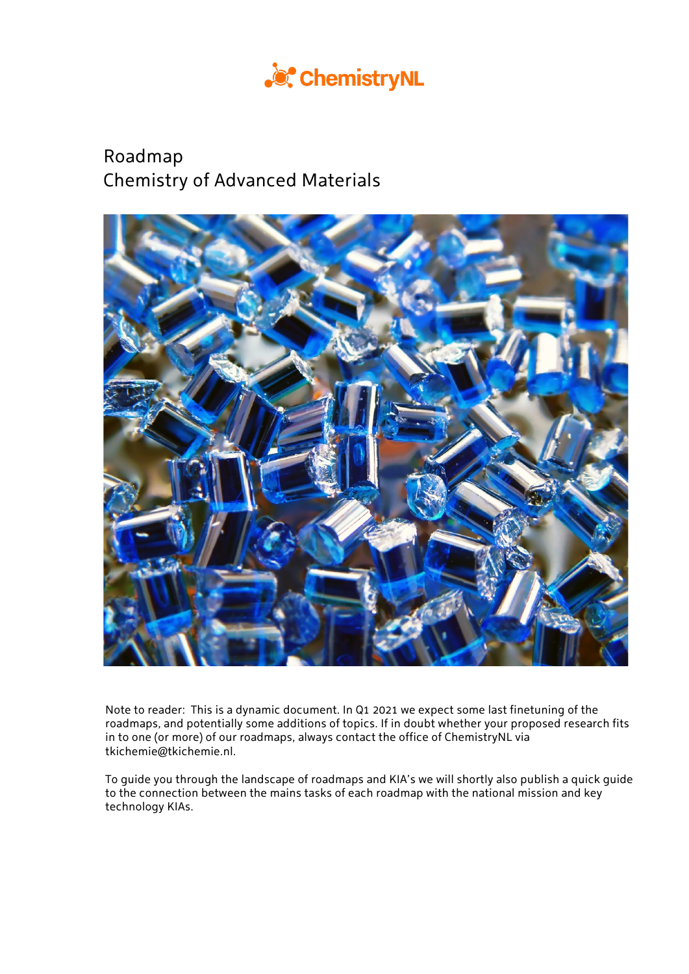

# Roadmap Chemistry of Advanced Materials



Note to reader: This is a dynamic document. In Q1 2021 we expect some last finetuning of the roadmaps, and potentially some additions of topics. If in doubt whether your proposed research fits in to one (or more) of our roadmaps, always contact the office of ChemistryNL via tkichemie@tkichemie.nl.

To guide you through the landscape of roadmaps and KIA's we will shortly also publish a quick guide to the connection between the mains tasks of each roadmap with the national mission and key technology KIAs.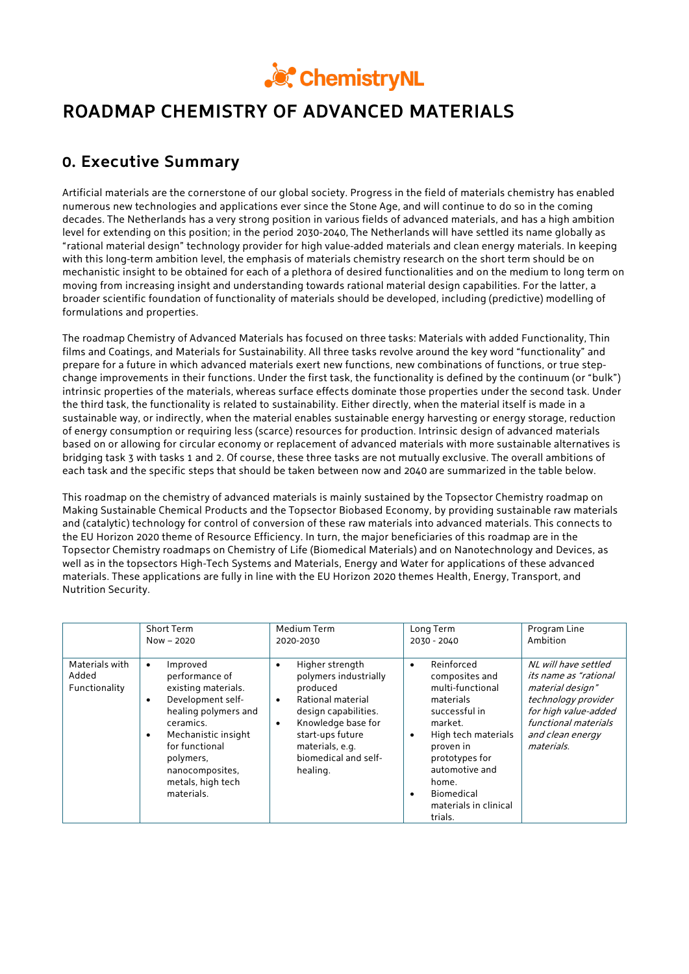

# **ROADMAP CHEMISTRY OF ADVANCED MATERIALS**

## **0. Executive Summary**

Artificial materials are the cornerstone of our global society. Progress in the field of materials chemistry has enabled numerous new technologies and applications ever since the Stone Age, and will continue to do so in the coming decades. The Netherlands has a very strong position in various fields of advanced materials, and has a high ambition level for extending on this position; in the period 2030-2040, The Netherlands will have settled its name globally as "rational material design" technology provider for high value-added materials and clean energy materials. In keeping with this long-term ambition level, the emphasis of materials chemistry research on the short term should be on mechanistic insight to be obtained for each of a plethora of desired functionalities and on the medium to long term on moving from increasing insight and understanding towards rational material design capabilities. For the latter, a broader scientific foundation of functionality of materials should be developed, including (predictive) modelling of formulations and properties.

The roadmap Chemistry of Advanced Materials has focused on three tasks: Materials with added Functionality, Thin films and Coatings, and Materials for Sustainability. All three tasks revolve around the key word "functionality" and prepare for a future in which advanced materials exert new functions, new combinations of functions, or true stepchange improvements in their functions. Under the first task, the functionality is defined by the continuum (or "bulk") intrinsic properties of the materials, whereas surface effects dominate those properties under the second task. Under the third task, the functionality is related to sustainability. Either directly, when the material itself is made in a sustainable way, or indirectly, when the material enables sustainable energy harvesting or energy storage, reduction of energy consumption or requiring less (scarce) resources for production. Intrinsic design of advanced materials based on or allowing for circular economy or replacement of advanced materials with more sustainable alternatives is bridging task 3 with tasks 1 and 2. Of course, these three tasks are not mutually exclusive. The overall ambitions of each task and the specific steps that should be taken between now and 2040 are summarized in the table below.

This roadmap on the chemistry of advanced materials is mainly sustained by the Topsector Chemistry roadmap on Making Sustainable Chemical Products and the Topsector Biobased Economy, by providing sustainable raw materials and (catalytic) technology for control of conversion of these raw materials into advanced materials. This connects to the EU Horizon 2020 theme of Resource Efficiency. In turn, the major beneficiaries of this roadmap are in the Topsector Chemistry roadmaps on Chemistry of Life (Biomedical Materials) and on Nanotechnology and Devices, as well as in the topsectors High-Tech Systems and Materials, Energy and Water for applications of these advanced materials. These applications are fully in line with the EU Horizon 2020 themes Health, Energy, Transport, and Nutrition Security.

|                                          | <b>Short Term</b>                                                                                                                                                                                                                                              | Medium Term                                                                                                                                                                                                                               | Long Term                                                                                                                                                                                                                                                           | Program Line                                                                                                                                                               |
|------------------------------------------|----------------------------------------------------------------------------------------------------------------------------------------------------------------------------------------------------------------------------------------------------------------|-------------------------------------------------------------------------------------------------------------------------------------------------------------------------------------------------------------------------------------------|---------------------------------------------------------------------------------------------------------------------------------------------------------------------------------------------------------------------------------------------------------------------|----------------------------------------------------------------------------------------------------------------------------------------------------------------------------|
|                                          | $Now - 2020$                                                                                                                                                                                                                                                   | 2020-2030                                                                                                                                                                                                                                 | 2030 - 2040                                                                                                                                                                                                                                                         | Ambition                                                                                                                                                                   |
| Materials with<br>Added<br>Functionality | Improved<br>$\bullet$<br>performance of<br>existing materials.<br>Development self-<br>$\bullet$<br>healing polymers and<br>ceramics.<br>Mechanistic insight<br>$\bullet$<br>for functional<br>polymers,<br>nanocomposites.<br>metals, high tech<br>materials. | Higher strength<br>$\bullet$<br>polymers industrially<br>produced<br>Rational material<br>$\bullet$<br>design capabilities.<br>Knowledge base for<br>$\bullet$<br>start-ups future<br>materials, e.g.<br>biomedical and self-<br>healing. | Reinforced<br>$\bullet$<br>composites and<br>multi-functional<br>materials<br>successful in<br>market.<br>High tech materials<br>$\bullet$<br>proven in<br>prototypes for<br>automotive and<br>home.<br>Biomedical<br>$\bullet$<br>materials in clinical<br>trials. | NL will have settled<br>its name as "rational<br>material design"<br>technology provider<br>for high value-added<br>functional materials<br>and clean energy<br>materials. |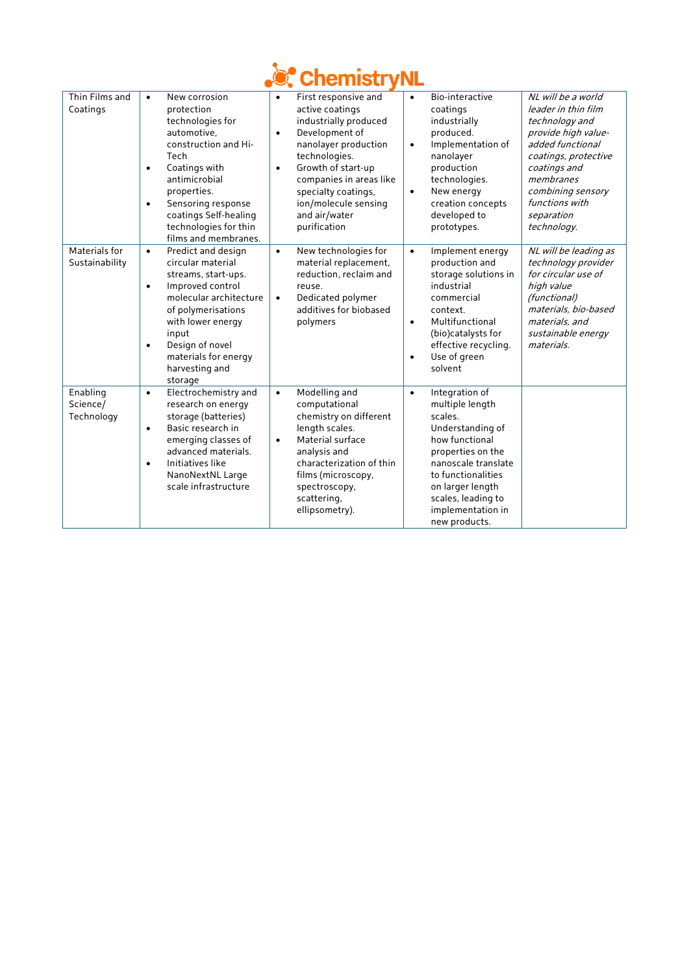

| Thin Films and<br>Coatings         | New corrosion<br>$\bullet$<br>protection<br>technologies for<br>automotive.<br>construction and Hi-<br>Tech<br>Coatings with<br>$\bullet$<br>antimicrobial<br>properties.<br>Sensoring response<br>$\bullet$<br>coatings Self-healing<br>technologies for thin<br>films and membranes. | First responsive and<br>$\bullet$<br>active coatings<br>industrially produced<br>Development of<br>$\bullet$<br>nanolayer production<br>technologies.<br>Growth of start-up<br>$\bullet$<br>companies in areas like<br>specialty coatings,<br>ion/molecule sensing<br>and air/water<br>purification | Bio-interactive<br>$\bullet$<br>coatings<br>industrially<br>produced.<br>Implementation of<br>$\bullet$<br>nanolayer<br>production<br>technologies.<br>New energy<br>$\bullet$<br>creation concepts<br>developed to<br>prototypes.                | NL will be a world<br>leader in thin film<br>technology and<br>provide high value-<br>added functional<br>coatings, protective<br>coatings and<br>membranes<br>combining sensory<br>functions with<br>separation<br>technology. |
|------------------------------------|----------------------------------------------------------------------------------------------------------------------------------------------------------------------------------------------------------------------------------------------------------------------------------------|-----------------------------------------------------------------------------------------------------------------------------------------------------------------------------------------------------------------------------------------------------------------------------------------------------|---------------------------------------------------------------------------------------------------------------------------------------------------------------------------------------------------------------------------------------------------|---------------------------------------------------------------------------------------------------------------------------------------------------------------------------------------------------------------------------------|
| Materials for<br>Sustainability    | Predict and design<br>$\bullet$<br>circular material<br>streams, start-ups.<br>Improved control<br>$\bullet$<br>molecular architecture<br>of polymerisations<br>with lower energy<br>input<br>Design of novel<br>$\bullet$<br>materials for energy<br>harvesting and<br>storage        | New technologies for<br>$\bullet$<br>material replacement,<br>reduction, reclaim and<br>reuse.<br>Dedicated polymer<br>$\bullet$<br>additives for biobased<br>polymers                                                                                                                              | Implement energy<br>$\bullet$<br>production and<br>storage solutions in<br>industrial<br>commercial<br>context.<br>Multifunctional<br>$\bullet$<br>(bio)catalysts for<br>effective recycling.<br>Use of green<br>$\bullet$<br>solvent             | NL will be leading as<br>technology provider<br>for circular use of<br>high value<br>(functional)<br>materials, bio-based<br>materials, and<br>sustainable energy<br>materials.                                                 |
| Enabling<br>Science/<br>Technology | Electrochemistry and<br>$\bullet$<br>research on energy<br>storage (batteries)<br>Basic research in<br>$\bullet$<br>emerging classes of<br>advanced materials.<br>Initiatives like<br>$\bullet$<br>NanoNextNL Large<br>scale infrastructure                                            | Modelling and<br>$\bullet$<br>computational<br>chemistry on different<br>length scales.<br>Material surface<br>$\bullet$<br>analysis and<br>characterization of thin<br>films (microscopy,<br>spectroscopy,<br>scattering.<br>ellipsometry).                                                        | Integration of<br>$\bullet$<br>multiple length<br>scales.<br>Understanding of<br>how functional<br>properties on the<br>nanoscale translate<br>to functionalities<br>on larger length<br>scales, leading to<br>implementation in<br>new products. |                                                                                                                                                                                                                                 |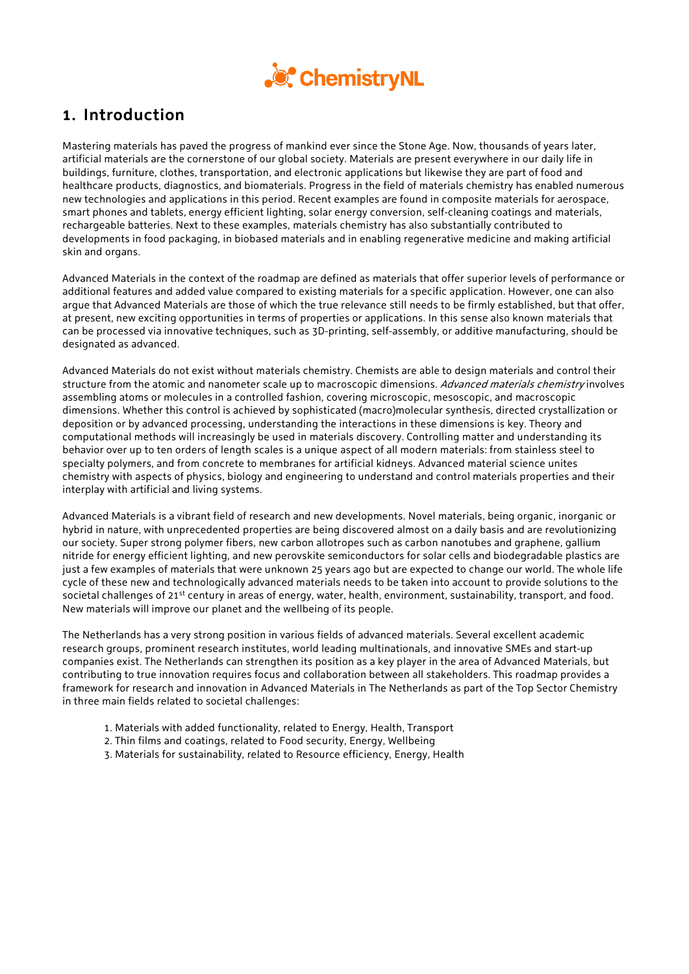

## **1. Introduction**

Mastering materials has paved the progress of mankind ever since the Stone Age. Now, thousands of years later, artificial materials are the cornerstone of our global society. Materials are present everywhere in our daily life in buildings, furniture, clothes, transportation, and electronic applications but likewise they are part of food and healthcare products, diagnostics, and biomaterials. Progress in the field of materials chemistry has enabled numerous new technologies and applications in this period. Recent examples are found in composite materials for aerospace, smart phones and tablets, energy efficient lighting, solar energy conversion, self-cleaning coatings and materials, rechargeable batteries. Next to these examples, materials chemistry has also substantially contributed to developments in food packaging, in biobased materials and in enabling regenerative medicine and making artificial skin and organs.

Advanced Materials in the context of the roadmap are defined as materials that offer superior levels of performance or additional features and added value compared to existing materials for a specific application. However, one can also argue that Advanced Materials are those of which the true relevance still needs to be firmly established, but that offer, at present, new exciting opportunities in terms of properties or applications. In this sense also known materials that can be processed via innovative techniques, such as 3D-printing, self-assembly, or additive manufacturing, should be designated as advanced.

Advanced Materials do not exist without materials chemistry. Chemists are able to design materials and control their structure from the atomic and nanometer scale up to macroscopic dimensions. Advanced materials chemistry involves assembling atoms or molecules in a controlled fashion, covering microscopic, mesoscopic, and macroscopic dimensions. Whether this control is achieved by sophisticated (macro)molecular synthesis, directed crystallization or deposition or by advanced processing, understanding the interactions in these dimensions is key. Theory and computational methods will increasingly be used in materials discovery. Controlling matter and understanding its behavior over up to ten orders of length scales is a unique aspect of all modern materials: from stainless steel to specialty polymers, and from concrete to membranes for artificial kidneys. Advanced material science unites chemistry with aspects of physics, biology and engineering to understand and control materials properties and their interplay with artificial and living systems.

Advanced Materials is a vibrant field of research and new developments. Novel materials, being organic, inorganic or hybrid in nature, with unprecedented properties are being discovered almost on a daily basis and are revolutionizing our society. Super strong polymer fibers, new carbon allotropes such as carbon nanotubes and graphene, gallium nitride for energy efficient lighting, and new perovskite semiconductors for solar cells and biodegradable plastics are just a few examples of materials that were unknown 25 years ago but are expected to change our world. The whole life cycle of these new and technologically advanced materials needs to be taken into account to provide solutions to the societal challenges of 21<sup>st</sup> century in areas of energy, water, health, environment, sustainability, transport, and food. New materials will improve our planet and the wellbeing of its people.

The Netherlands has a very strong position in various fields of advanced materials. Several excellent academic research groups, prominent research institutes, world leading multinationals, and innovative SMEs and start-up companies exist. The Netherlands can strengthen its position as a key player in the area of Advanced Materials, but contributing to true innovation requires focus and collaboration between all stakeholders. This roadmap provides a framework for research and innovation in Advanced Materials in The Netherlands as part of the Top Sector Chemistry in three main fields related to societal challenges:

- 1. Materials with added functionality, related to Energy, Health, Transport
- 2. Thin films and coatings, related to Food security, Energy, Wellbeing
- 3. Materials for sustainability, related to Resource efficiency, Energy, Health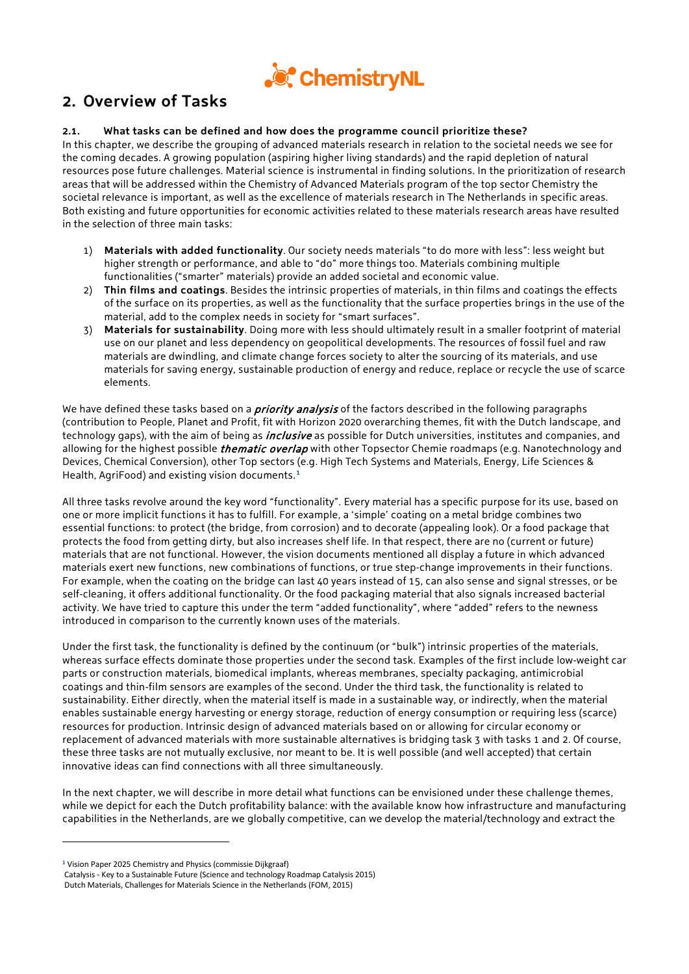

## **2. Overview of Tasks**

## **2.1. What tasks can be defined and how does the programme council prioritize these?**

In this chapter, we describe the grouping of advanced materials research in relation to the societal needs we see for the coming decades. A growing population (aspiring higher living standards) and the rapid depletion of natural resources pose future challenges. Material science is instrumental in finding solutions. In the prioritization of research areas that will be addressed within the Chemistry of Advanced Materials program of the top sector Chemistry the societal relevance is important, as well as the excellence of materials research in The Netherlands in specific areas. Both existing and future opportunities for economic activities related to these materials research areas have resulted in the selection of three main tasks:

- 1) **Materials with added functionality**. Our society needs materials "to do more with less": less weight but higher strength or performance, and able to "do" more things too. Materials combining multiple functionalities ("smarter" materials) provide an added societal and economic value.
- 2) **Thin films and coatings**. Besides the intrinsic properties of materials, in thin films and coatings the effects of the surface on its properties, as well as the functionality that the surface properties brings in the use of the material, add to the complex needs in society for "smart surfaces".
- 3) **Materials for sustainability**. Doing more with less should ultimately result in a smaller footprint of material use on our planet and less dependency on geopolitical developments. The resources of fossil fuel and raw materials are dwindling, and climate change forces society to alter the sourcing of its materials, and use materials for saving energy, sustainable production of energy and reduce, replace or recycle the use of scarce elements.

We have defined these tasks based on a *priority analysis* of the factors described in the following paragraphs (contribution to People, Planet and Profit, fit with Horizon 2020 overarching themes, fit with the Dutch landscape, and technology gaps), with the aim of being as *inclusive* as possible for Dutch universities, institutes and companies, and allowing for the highest possible *thematic overlap* with other Topsector Chemie roadmaps (e.g. Nanotechnology and Devices, Chemical Conversion), other Top sectors (e.g. High Tech Systems and Materials, Energy, Life Sciences & Health, AgriFood) and existing vision documents.**[1](#page-4-0)**

All three tasks revolve around the key word "functionality". Every material has a specific purpose for its use, based on one or more implicit functions it has to fulfill. For example, a 'simple' coating on a metal bridge combines two essential functions: to protect (the bridge, from corrosion) and to decorate (appealing look). Or a food package that protects the food from getting dirty, but also increases shelf life. In that respect, there are no (current or future) materials that are not functional. However, the vision documents mentioned all display a future in which advanced materials exert new functions, new combinations of functions, or true step-change improvements in their functions. For example, when the coating on the bridge can last 40 years instead of 15, can also sense and signal stresses, or be self-cleaning, it offers additional functionality. Or the food packaging material that also signals increased bacterial activity. We have tried to capture this under the term "added functionality", where "added" refers to the newness introduced in comparison to the currently known uses of the materials.

Under the first task, the functionality is defined by the continuum (or "bulk") intrinsic properties of the materials, whereas surface effects dominate those properties under the second task. Examples of the first include low-weight car parts or construction materials, biomedical implants, whereas membranes, specialty packaging, antimicrobial coatings and thin-film sensors are examples of the second. Under the third task, the functionality is related to sustainability. Either directly, when the material itself is made in a sustainable way, or indirectly, when the material enables sustainable energy harvesting or energy storage, reduction of energy consumption or requiring less (scarce) resources for production. Intrinsic design of advanced materials based on or allowing for circular economy or replacement of advanced materials with more sustainable alternatives is bridging task 3 with tasks 1 and 2. Of course, these three tasks are not mutually exclusive, nor meant to be. It is well possible (and well accepted) that certain innovative ideas can find connections with all three simultaneously.

In the next chapter, we will describe in more detail what functions can be envisioned under these challenge themes, while we depict for each the Dutch profitability balance: with the available know how infrastructure and manufacturing capabilities in the Netherlands, are we globally competitive, can we develop the material/technology and extract the

1

<span id="page-4-0"></span>**<sup>1</sup>** Vision Paper 2025 Chemistry and Physics (commissie Dijkgraaf)

Catalysis - Key to a Sustainable Future (Science and technology Roadmap Catalysis 2015)

Dutch Materials, Challenges for Materials Science in the Netherlands (FOM, 2015)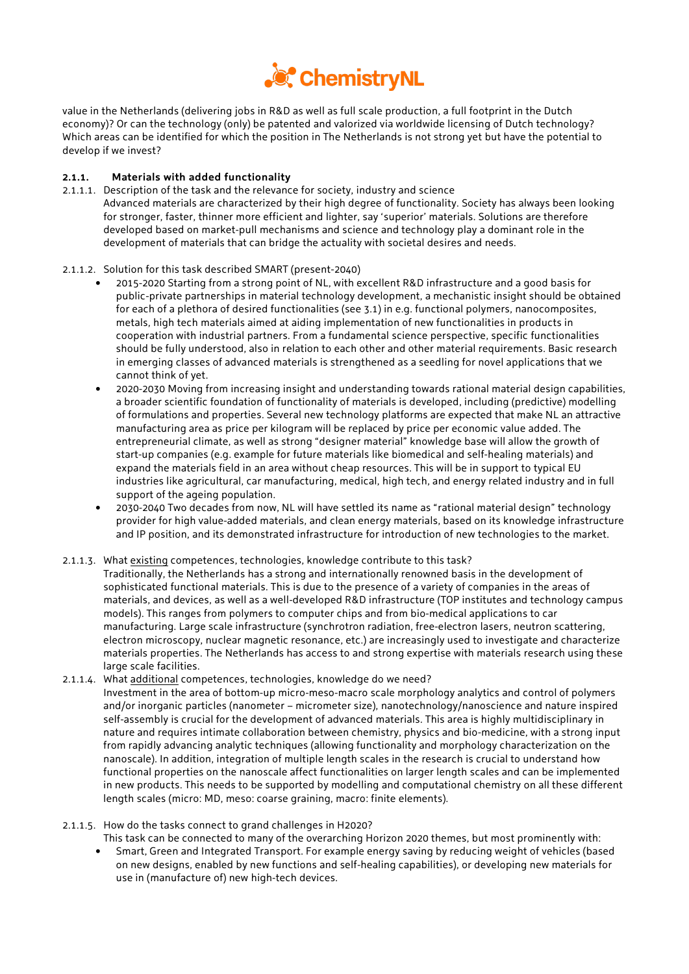

value in the Netherlands (delivering jobs in R&D as well as full scale production, a full footprint in the Dutch economy)? Or can the technology (only) be patented and valorized via worldwide licensing of Dutch technology? Which areas can be identified for which the position in The Netherlands is not strong yet but have the potential to develop if we invest?

## **2.1.1. Materials with added functionality**

2.1.1.1. Description of the task and the relevance for society, industry and science Advanced materials are characterized by their high degree of functionality. Society has always been looking for stronger, faster, thinner more efficient and lighter, say 'superior' materials. Solutions are therefore developed based on market-pull mechanisms and science and technology play a dominant role in the development of materials that can bridge the actuality with societal desires and needs.

### 2.1.1.2. Solution for this task described SMART (present-2040)

- 2015-2020 Starting from a strong point of NL, with excellent R&D infrastructure and a good basis for public-private partnerships in material technology development, a mechanistic insight should be obtained for each of a plethora of desired functionalities (see 3.1) in e.g. functional polymers, nanocomposites, metals, high tech materials aimed at aiding implementation of new functionalities in products in cooperation with industrial partners. From a fundamental science perspective, specific functionalities should be fully understood, also in relation to each other and other material requirements. Basic research in emerging classes of advanced materials is strengthened as a seedling for novel applications that we cannot think of yet.
- 2020-2030 Moving from increasing insight and understanding towards rational material design capabilities, a broader scientific foundation of functionality of materials is developed, including (predictive) modelling of formulations and properties. Several new technology platforms are expected that make NL an attractive manufacturing area as price per kilogram will be replaced by price per economic value added. The entrepreneurial climate, as well as strong "designer material" knowledge base will allow the growth of start-up companies (e.g. example for future materials like biomedical and self-healing materials) and expand the materials field in an area without cheap resources. This will be in support to typical EU industries like agricultural, car manufacturing, medical, high tech, and energy related industry and in full support of the ageing population.
- 2030-2040 Two decades from now, NL will have settled its name as "rational material design" technology provider for high value-added materials, and clean energy materials, based on its knowledge infrastructure and IP position, and its demonstrated infrastructure for introduction of new technologies to the market.

#### 2.1.1.3. What existing competences, technologies, knowledge contribute to this task?

Traditionally, the Netherlands has a strong and internationally renowned basis in the development of sophisticated functional materials. This is due to the presence of a variety of companies in the areas of materials, and devices, as well as a well-developed R&D infrastructure (TOP institutes and technology campus models). This ranges from polymers to computer chips and from bio-medical applications to car manufacturing. Large scale infrastructure (synchrotron radiation, free-electron lasers, neutron scattering, electron microscopy, nuclear magnetic resonance, etc.) are increasingly used to investigate and characterize materials properties. The Netherlands has access to and strong expertise with materials research using these large scale facilities.

2.1.1.4. What additional competences, technologies, knowledge do we need? Investment in the area of bottom-up micro-meso-macro scale morphology analytics and control of polymers and/or inorganic particles (nanometer – micrometer size), nanotechnology/nanoscience and nature inspired self-assembly is crucial for the development of advanced materials. This area is highly multidisciplinary in nature and requires intimate collaboration between chemistry, physics and bio-medicine, with a strong input from rapidly advancing analytic techniques (allowing functionality and morphology characterization on the nanoscale). In addition, integration of multiple length scales in the research is crucial to understand how functional properties on the nanoscale affect functionalities on larger length scales and can be implemented in new products. This needs to be supported by modelling and computational chemistry on all these different length scales (micro: MD, meso: coarse graining, macro: finite elements).

#### 2.1.1.5. How do the tasks connect to grand challenges in H2020?

This task can be connected to many of the overarching Horizon 2020 themes, but most prominently with:

• Smart, Green and Integrated Transport. For example energy saving by reducing weight of vehicles (based on new designs, enabled by new functions and self-healing capabilities), or developing new materials for use in (manufacture of) new high-tech devices.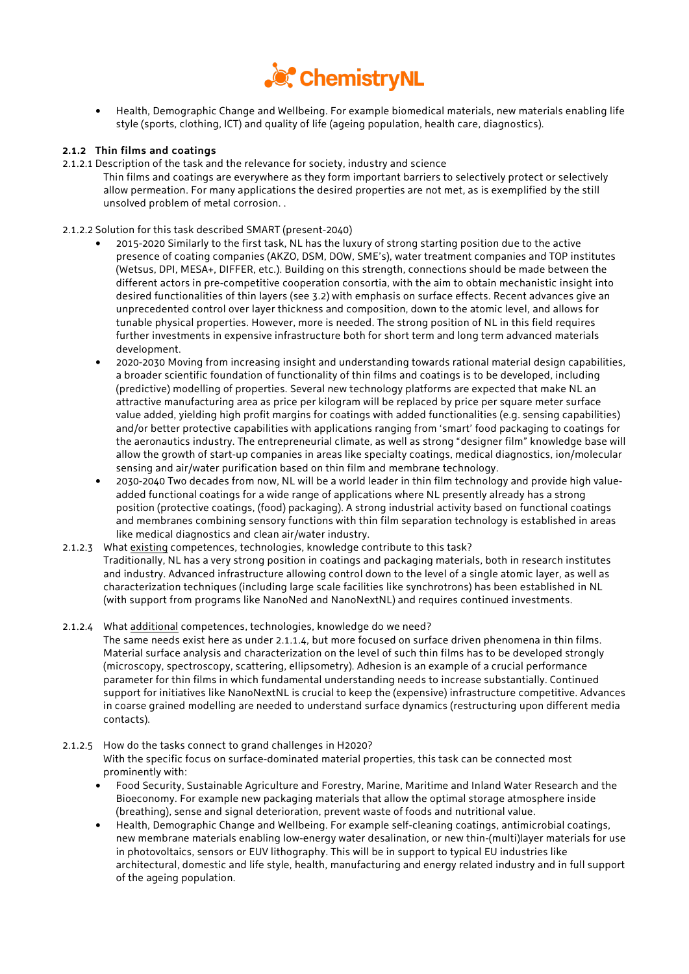

• Health, Demographic Change and Wellbeing. For example biomedical materials, new materials enabling life style (sports, clothing, ICT) and quality of life (ageing population, health care, diagnostics).

## **2.1.2 Thin films and coatings**

- 2.1.2.1 Description of the task and the relevance for society, industry and science
	- Thin films and coatings are everywhere as they form important barriers to selectively protect or selectively allow permeation. For many applications the desired properties are not met, as is exemplified by the still unsolved problem of metal corrosion. .
- 2.1.2.2 Solution for this task described SMART (present-2040)
	- 2015-2020 Similarly to the first task, NL has the luxury of strong starting position due to the active presence of coating companies (AKZO, DSM, DOW, SME's), water treatment companies and TOP institutes (Wetsus, DPI, MESA+, DIFFER, etc.). Building on this strength, connections should be made between the different actors in pre-competitive cooperation consortia, with the aim to obtain mechanistic insight into desired functionalities of thin layers (see 3.2) with emphasis on surface effects. Recent advances give an unprecedented control over layer thickness and composition, down to the atomic level, and allows for tunable physical properties. However, more is needed. The strong position of NL in this field requires further investments in expensive infrastructure both for short term and long term advanced materials development.
	- 2020-2030 Moving from increasing insight and understanding towards rational material design capabilities, a broader scientific foundation of functionality of thin films and coatings is to be developed, including (predictive) modelling of properties. Several new technology platforms are expected that make NL an attractive manufacturing area as price per kilogram will be replaced by price per square meter surface value added, yielding high profit margins for coatings with added functionalities (e.g. sensing capabilities) and/or better protective capabilities with applications ranging from 'smart' food packaging to coatings for the aeronautics industry. The entrepreneurial climate, as well as strong "designer film" knowledge base will allow the growth of start-up companies in areas like specialty coatings, medical diagnostics, ion/molecular sensing and air/water purification based on thin film and membrane technology.
	- 2030-2040 Two decades from now, NL will be a world leader in thin film technology and provide high valueadded functional coatings for a wide range of applications where NL presently already has a strong position (protective coatings, (food) packaging). A strong industrial activity based on functional coatings and membranes combining sensory functions with thin film separation technology is established in areas like medical diagnostics and clean air/water industry.
- 2.1.2.3 What existing competences, technologies, knowledge contribute to this task? Traditionally, NL has a very strong position in coatings and packaging materials, both in research institutes and industry. Advanced infrastructure allowing control down to the level of a single atomic layer, as well as characterization techniques (including large scale facilities like synchrotrons) has been established in NL (with support from programs like NanoNed and NanoNextNL) and requires continued investments.
- 2.1.2.4 What additional competences, technologies, knowledge do we need?

The same needs exist here as under 2.1.1.4, but more focused on surface driven phenomena in thin films. Material surface analysis and characterization on the level of such thin films has to be developed strongly (microscopy, spectroscopy, scattering, ellipsometry). Adhesion is an example of a crucial performance parameter for thin films in which fundamental understanding needs to increase substantially. Continued support for initiatives like NanoNextNL is crucial to keep the (expensive) infrastructure competitive. Advances in coarse grained modelling are needed to understand surface dynamics (restructuring upon different media contacts).

2.1.2.5 How do the tasks connect to grand challenges in H2020?

With the specific focus on surface-dominated material properties, this task can be connected most prominently with:

- Food Security, Sustainable Agriculture and Forestry, Marine, Maritime and Inland Water Research and the Bioeconomy. For example new packaging materials that allow the optimal storage atmosphere inside (breathing), sense and signal deterioration, prevent waste of foods and nutritional value.
- Health, Demographic Change and Wellbeing. For example self-cleaning coatings, antimicrobial coatings, new membrane materials enabling low-energy water desalination, or new thin-(multi)layer materials for use in photovoltaics, sensors or EUV lithography. This will be in support to typical EU industries like architectural, domestic and life style, health, manufacturing and energy related industry and in full support of the ageing population.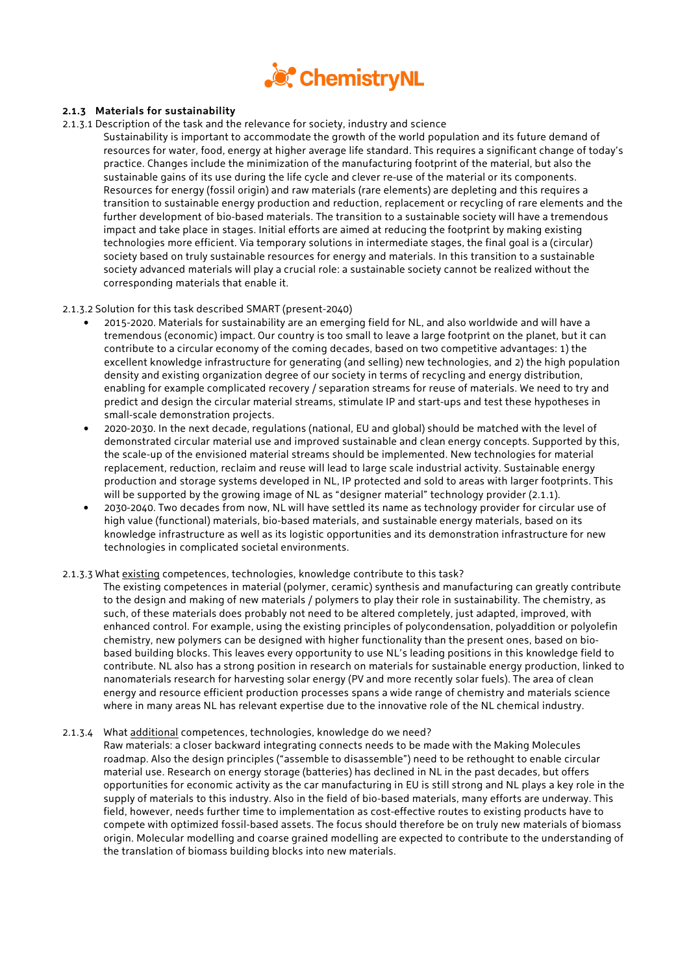

## **2.1.3 Materials for sustainability**

- 2.1.3.1 Description of the task and the relevance for society, industry and science
	- Sustainability is important to accommodate the growth of the world population and its future demand of resources for water, food, energy at higher average life standard. This requires a significant change of today's practice. Changes include the minimization of the manufacturing footprint of the material, but also the sustainable gains of its use during the life cycle and clever re-use of the material or its components. Resources for energy (fossil origin) and raw materials (rare elements) are depleting and this requires a transition to sustainable energy production and reduction, replacement or recycling of rare elements and the further development of bio-based materials. The transition to a sustainable society will have a tremendous impact and take place in stages. Initial efforts are aimed at reducing the footprint by making existing technologies more efficient. Via temporary solutions in intermediate stages, the final goal is a (circular) society based on truly sustainable resources for energy and materials. In this transition to a sustainable society advanced materials will play a crucial role: a sustainable society cannot be realized without the corresponding materials that enable it.

### 2.1.3.2 Solution for this task described SMART (present-2040)

- 2015-2020. Materials for sustainability are an emerging field for NL, and also worldwide and will have a tremendous (economic) impact. Our country is too small to leave a large footprint on the planet, but it can contribute to a circular economy of the coming decades, based on two competitive advantages: 1) the excellent knowledge infrastructure for generating (and selling) new technologies, and 2) the high population density and existing organization degree of our society in terms of recycling and energy distribution, enabling for example complicated recovery / separation streams for reuse of materials. We need to try and predict and design the circular material streams, stimulate IP and start-ups and test these hypotheses in small-scale demonstration projects.
- 2020-2030. In the next decade, regulations (national, EU and global) should be matched with the level of demonstrated circular material use and improved sustainable and clean energy concepts. Supported by this, the scale-up of the envisioned material streams should be implemented. New technologies for material replacement, reduction, reclaim and reuse will lead to large scale industrial activity. Sustainable energy production and storage systems developed in NL, IP protected and sold to areas with larger footprints. This will be supported by the growing image of NL as "designer material" technology provider (2.1.1).
- 2030-2040. Two decades from now, NL will have settled its name as technology provider for circular use of high value (functional) materials, bio-based materials, and sustainable energy materials, based on its knowledge infrastructure as well as its logistic opportunities and its demonstration infrastructure for new technologies in complicated societal environments.

#### 2.1.3.3 What existing competences, technologies, knowledge contribute to this task?

The existing competences in material (polymer, ceramic) synthesis and manufacturing can greatly contribute to the design and making of new materials / polymers to play their role in sustainability. The chemistry, as such, of these materials does probably not need to be altered completely, just adapted, improved, with enhanced control. For example, using the existing principles of polycondensation, polyaddition or polyolefin chemistry, new polymers can be designed with higher functionality than the present ones, based on biobased building blocks. This leaves every opportunity to use NL's leading positions in this knowledge field to contribute. NL also has a strong position in research on materials for sustainable energy production, linked to nanomaterials research for harvesting solar energy (PV and more recently solar fuels). The area of clean energy and resource efficient production processes spans a wide range of chemistry and materials science where in many areas NL has relevant expertise due to the innovative role of the NL chemical industry.

#### 2.1.3.4 What additional competences, technologies, knowledge do we need?

Raw materials: a closer backward integrating connects needs to be made with the Making Molecules roadmap. Also the design principles ("assemble to disassemble") need to be rethought to enable circular material use. Research on energy storage (batteries) has declined in NL in the past decades, but offers opportunities for economic activity as the car manufacturing in EU is still strong and NL plays a key role in the supply of materials to this industry. Also in the field of bio-based materials, many efforts are underway. This field, however, needs further time to implementation as cost-effective routes to existing products have to compete with optimized fossil-based assets. The focus should therefore be on truly new materials of biomass origin. Molecular modelling and coarse grained modelling are expected to contribute to the understanding of the translation of biomass building blocks into new materials.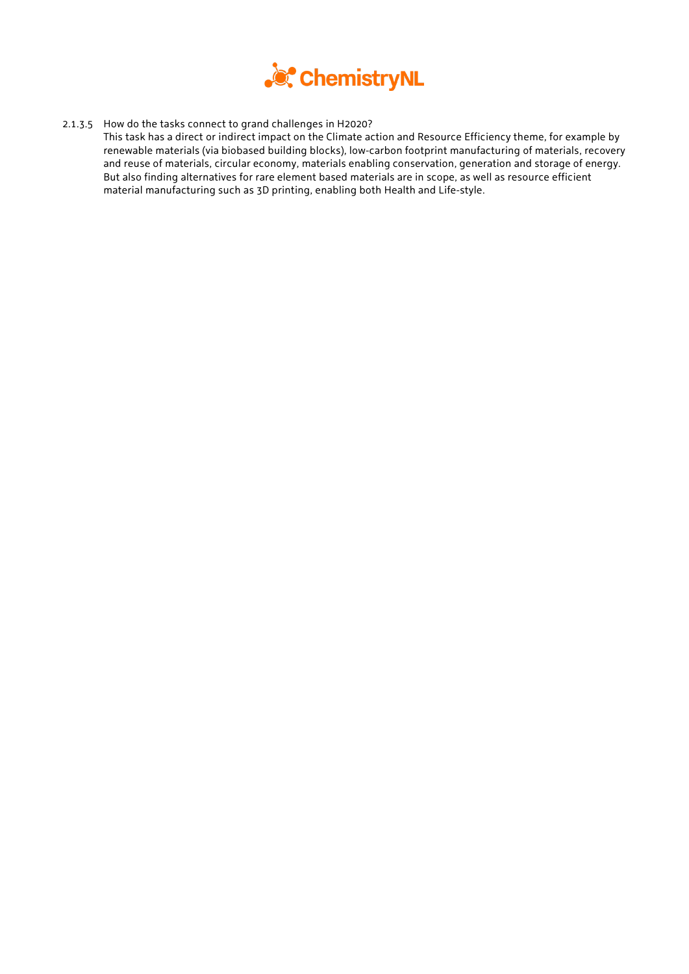

2.1.3.5 How do the tasks connect to grand challenges in H2020?

This task has a direct or indirect impact on the Climate action and Resource Efficiency theme, for example by renewable materials (via biobased building blocks), low-carbon footprint manufacturing of materials, recovery and reuse of materials, circular economy, materials enabling conservation, generation and storage of energy. But also finding alternatives for rare element based materials are in scope, as well as resource efficient material manufacturing such as 3D printing, enabling both Health and Life-style.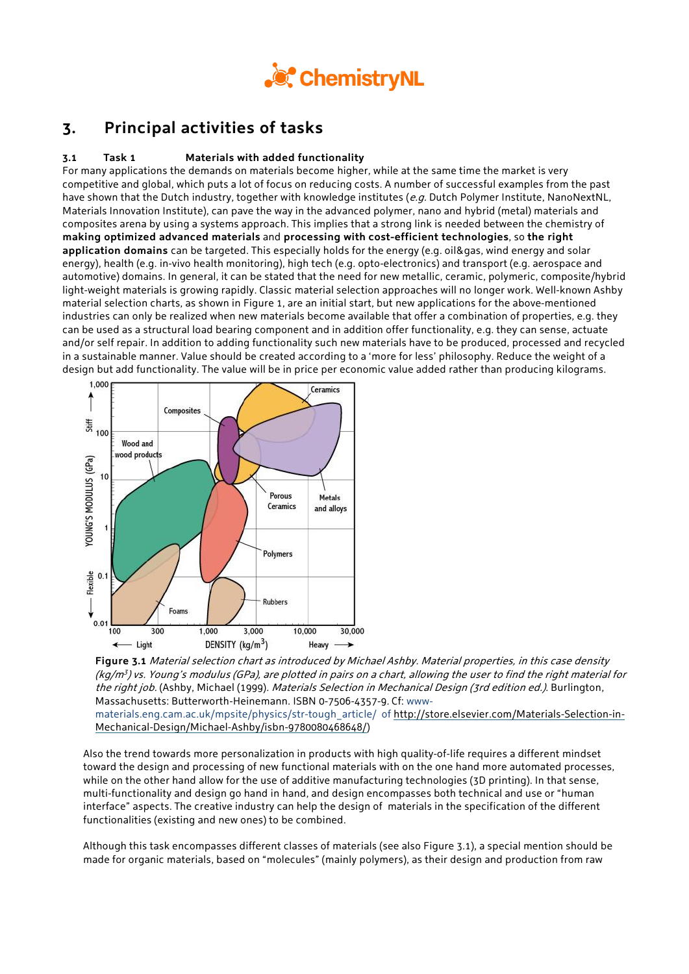

## **3. Principal activities of tasks**

## **3.1 Task 1 Materials with added functionality**

For many applications the demands on materials become higher, while at the same time the market is very competitive and global, which puts a lot of focus on reducing costs. A number of successful examples from the past have shown that the Dutch industry, together with knowledge institutes (e.g. Dutch Polymer Institute, NanoNextNL, Materials Innovation Institute), can pave the way in the advanced polymer, nano and hybrid (metal) materials and composites arena by using a systems approach. This implies that a strong link is needed between the chemistry of **making optimized advanced materials** and **processing with cost-efficient technologies**, so **the right application domains** can be targeted. This especially holds for the energy (e.g. oil&gas, wind energy and solar energy), health (e.g. in-vivo health monitoring), high tech (e.g. opto-electronics) and transport (e.g. aerospace and automotive) domains. In general, it can be stated that the need for new metallic, ceramic, polymeric, composite/hybrid light-weight materials is growing rapidly. Classic material selection approaches will no longer work. Well-known Ashby material selection charts, as shown in Figure 1, are an initial start, but new applications for the above-mentioned industries can only be realized when new materials become available that offer a combination of properties, e.g. they can be used as a structural load bearing component and in addition offer functionality, e.g. they can sense, actuate and/or self repair. In addition to adding functionality such new materials have to be produced, processed and recycled in a sustainable manner. Value should be created according to a 'more for less' philosophy. Reduce the weight of a design but add functionality. The value will be in price per economic value added rather than producing kilograms.



**Figure 3.1** Material selection chart as introduced by Michael Ashby. Material properties, in this case density  $(kq/m<sup>3</sup>)$  vs. Young's modulus (GPa), are plotted in pairs on a chart, allowing the user to find the right material for the right job. [\(Ashby, Michael](http://en.wikipedia.org/wiki/M._F._Ashby) (1999). Materials Selection in Mechanical Design (3rd edition ed.). Burlington, Massachusetts: Butterworth-Heinemann. [ISBN](http://en.wikipedia.org/wiki/International_Standard_Book_Number) [0-7506-4357-9](http://en.wikipedia.org/wiki/Special:BookSources/0-7506-4357-9). Cf: www-

materials.eng.cam.ac.uk/mpsite/physics/str-tough\_article/ o[f http://store.elsevier.com/Materials-Selection-in-](http://store.elsevier.com/Materials-Selection-in-Mechanical-Design/Michael-Ashby/isbn-9780080468648/)[Mechanical-Design/Michael-Ashby/isbn-9780080468648/\)](http://store.elsevier.com/Materials-Selection-in-Mechanical-Design/Michael-Ashby/isbn-9780080468648/)

Also the trend towards more personalization in products with high quality-of-life requires a different mindset toward the design and processing of new functional materials with on the one hand more automated processes, while on the other hand allow for the use of additive manufacturing technologies (3D printing). In that sense, multi-functionality and design go hand in hand, and design encompasses both technical and use or "human interface" aspects. The creative industry can help the design of materials in the specification of the different functionalities (existing and new ones) to be combined.

Although this task encompasses different classes of materials (see also Figure 3.1), a special mention should be made for organic materials, based on "molecules" (mainly polymers), as their design and production from raw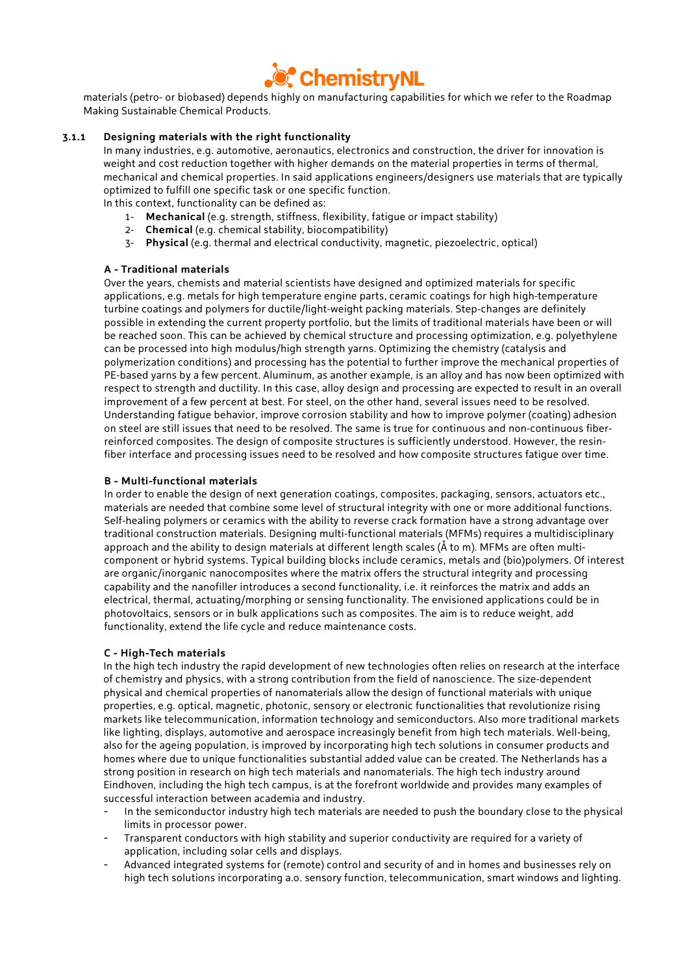

materials (petro- or biobased) depends highly on manufacturing capabilities for which we refer to the Roadmap Making Sustainable Chemical Products.

#### **3.1.1 Designing materials with the right functionality**

In many industries, e.g. automotive, aeronautics, electronics and construction, the driver for innovation is weight and cost reduction together with higher demands on the material properties in terms of thermal, mechanical and chemical properties. In said applications engineers/designers use materials that are typically optimized to fulfill one specific task or one specific function.

In this context, functionality can be defined as:

- 1- **Mechanical** (e.g. strength, stiffness, flexibility, fatigue or impact stability)
- 2- **Chemical** (e.g. chemical stability, biocompatibility)
- 3- **Physical** (e.g. thermal and electrical conductivity, magnetic, piezoelectric, optical)

#### **A - Traditional materials**

Over the years, chemists and material scientists have designed and optimized materials for specific applications, e.g. metals for high temperature engine parts, ceramic coatings for high high-temperature turbine coatings and polymers for ductile/light-weight packing materials. Step-changes are definitely possible in extending the current property portfolio, but the limits of traditional materials have been or will be reached soon. This can be achieved by chemical structure and processing optimization, e.g. polyethylene can be processed into high modulus/high strength yarns. Optimizing the chemistry (catalysis and polymerization conditions) and processing has the potential to further improve the mechanical properties of PE-based yarns by a few percent. Aluminum, as another example, is an alloy and has now been optimized with respect to strength and ductility. In this case, alloy design and processing are expected to result in an overall improvement of a few percent at best. For steel, on the other hand, several issues need to be resolved. Understanding fatigue behavior, improve corrosion stability and how to improve polymer (coating) adhesion on steel are still issues that need to be resolved. The same is true for continuous and non-continuous fiberreinforced composites. The design of composite structures is sufficiently understood. However, the resinfiber interface and processing issues need to be resolved and how composite structures fatigue over time.

#### **B - Multi-functional materials**

In order to enable the design of next generation coatings, composites, packaging, sensors, actuators etc., materials are needed that combine some level of structural integrity with one or more additional functions. Self-healing polymers or ceramics with the ability to reverse crack formation have a strong advantage over traditional construction materials. Designing multi-functional materials (MFMs) requires a multidisciplinary approach and the ability to design materials at different length scales (Å to m). MFMs are often multicomponent or hybrid systems. Typical building blocks include ceramics, metals and (bio)polymers. Of interest are organic/inorganic nanocomposites where the matrix offers the structural integrity and processing capability and the nanofiller introduces a second functionality, i.e. it reinforces the matrix and adds an electrical, thermal, actuating/morphing or sensing functionality. The envisioned applications could be in photovoltaics, sensors or in bulk applications such as composites. The aim is to reduce weight, add functionality, extend the life cycle and reduce maintenance costs.

#### **C - High-Tech materials**

In the high tech industry the rapid development of new technologies often relies on research at the interface of chemistry and physics, with a strong contribution from the field of nanoscience. The size-dependent physical and chemical properties of nanomaterials allow the design of functional materials with unique properties, e.g. optical, magnetic, photonic, sensory or electronic functionalities that revolutionize rising markets like telecommunication, information technology and semiconductors. Also more traditional markets like lighting, displays, automotive and aerospace increasingly benefit from high tech materials. Well-being, also for the ageing population, is improved by incorporating high tech solutions in consumer products and homes where due to unique functionalities substantial added value can be created. The Netherlands has a strong position in research on high tech materials and nanomaterials. The high tech industry around Eindhoven, including the high tech campus, is at the forefront worldwide and provides many examples of successful interaction between academia and industry.

- In the semiconductor industry high tech materials are needed to push the boundary close to the physical limits in processor power.
- Transparent conductors with high stability and superior conductivity are required for a variety of application, including solar cells and displays.
- Advanced integrated systems for (remote) control and security of and in homes and businesses rely on high tech solutions incorporating a.o. sensory function, telecommunication, smart windows and lighting.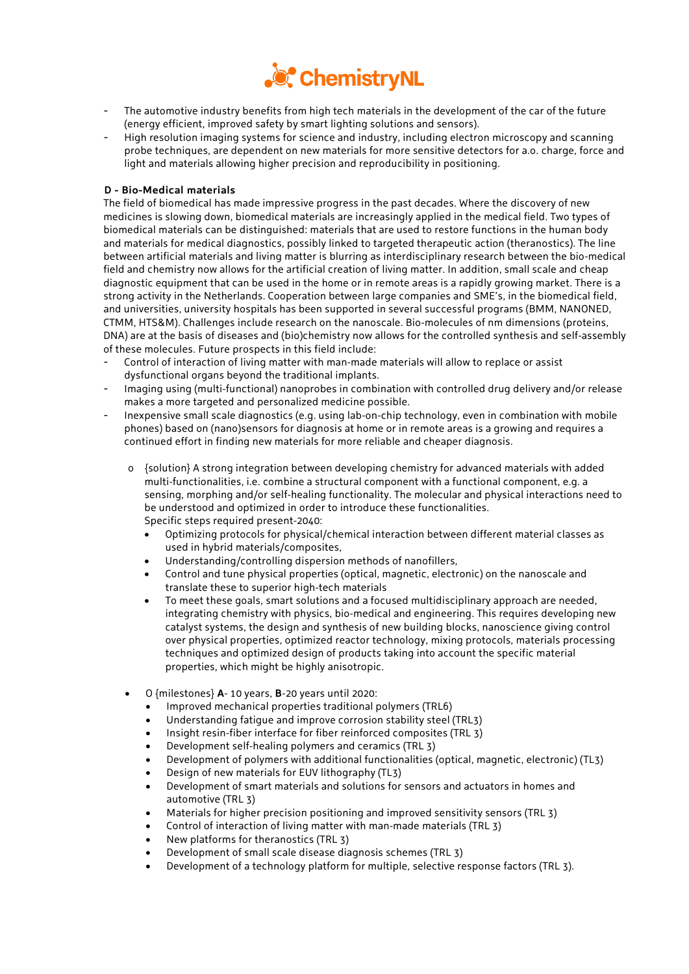

- The automotive industry benefits from high tech materials in the development of the car of the future (energy efficient, improved safety by smart lighting solutions and sensors).
- High resolution imaging systems for science and industry, including electron microscopy and scanning probe techniques, are dependent on new materials for more sensitive detectors for a.o. charge, force and light and materials allowing higher precision and reproducibility in positioning.

## **D - Bio-Medical materials**

The field of biomedical has made impressive progress in the past decades. Where the discovery of new medicines is slowing down, biomedical materials are increasingly applied in the medical field. Two types of biomedical materials can be distinguished: materials that are used to restore functions in the human body and materials for medical diagnostics, possibly linked to targeted therapeutic action (theranostics). The line between artificial materials and living matter is blurring as interdisciplinary research between the bio-medical field and chemistry now allows for the artificial creation of living matter. In addition, small scale and cheap diagnostic equipment that can be used in the home or in remote areas is a rapidly growing market. There is a strong activity in the Netherlands. Cooperation between large companies and SME's, in the biomedical field, and universities, university hospitals has been supported in several successful programs (BMM, NANONED, CTMM, HTS&M). Challenges include research on the nanoscale. Bio-molecules of nm dimensions (proteins, DNA) are at the basis of diseases and (bio)chemistry now allows for the controlled synthesis and self-assembly of these molecules. Future prospects in this field include:

- Control of interaction of living matter with man-made materials will allow to replace or assist dysfunctional organs beyond the traditional implants.
- Imaging using (multi-functional) nanoprobes in combination with controlled drug delivery and/or release makes a more targeted and personalized medicine possible.
- Inexpensive small scale diagnostics (e.g. using lab-on-chip technology, even in combination with mobile phones) based on (nano)sensors for diagnosis at home or in remote areas is a growing and requires a continued effort in finding new materials for more reliable and cheaper diagnosis.
	- o {solution} A strong integration between developing chemistry for advanced materials with added multi-functionalities, i.e. combine a structural component with a functional component, e.g. a sensing, morphing and/or self-healing functionality. The molecular and physical interactions need to be understood and optimized in order to introduce these functionalities. Specific steps required present-2040:
		- Optimizing protocols for physical/chemical interaction between different material classes as used in hybrid materials/composites,
		- Understanding/controlling dispersion methods of nanofillers,
		- Control and tune physical properties (optical, magnetic, electronic) on the nanoscale and translate these to superior high-tech materials
		- To meet these goals, smart solutions and a focused multidisciplinary approach are needed, integrating chemistry with physics, bio-medical and engineering. This requires developing new catalyst systems, the design and synthesis of new building blocks, nanoscience giving control over physical properties, optimized reactor technology, mixing protocols, materials processing techniques and optimized design of products taking into account the specific material properties, which might be highly anisotropic.
	- O {milestones} **A** 10 years, **B**-20 years until 2020:
		- Improved mechanical properties traditional polymers (TRL6)
		- Understanding fatigue and improve corrosion stability steel (TRL3)
		- Insight resin-fiber interface for fiber reinforced composites (TRL 3)
		- Development self-healing polymers and ceramics (TRL 3)
		- Development of polymers with additional functionalities (optical, magnetic, electronic) (TL3)
		- Design of new materials for EUV lithography (TL3)
		- Development of smart materials and solutions for sensors and actuators in homes and automotive (TRL 3)
		- Materials for higher precision positioning and improved sensitivity sensors (TRL 3)
		- Control of interaction of living matter with man-made materials (TRL 3)
		- New platforms for theranostics (TRL 3)
		- Development of small scale disease diagnosis schemes (TRL 3)
		- Development of a technology platform for multiple, selective response factors (TRL 3).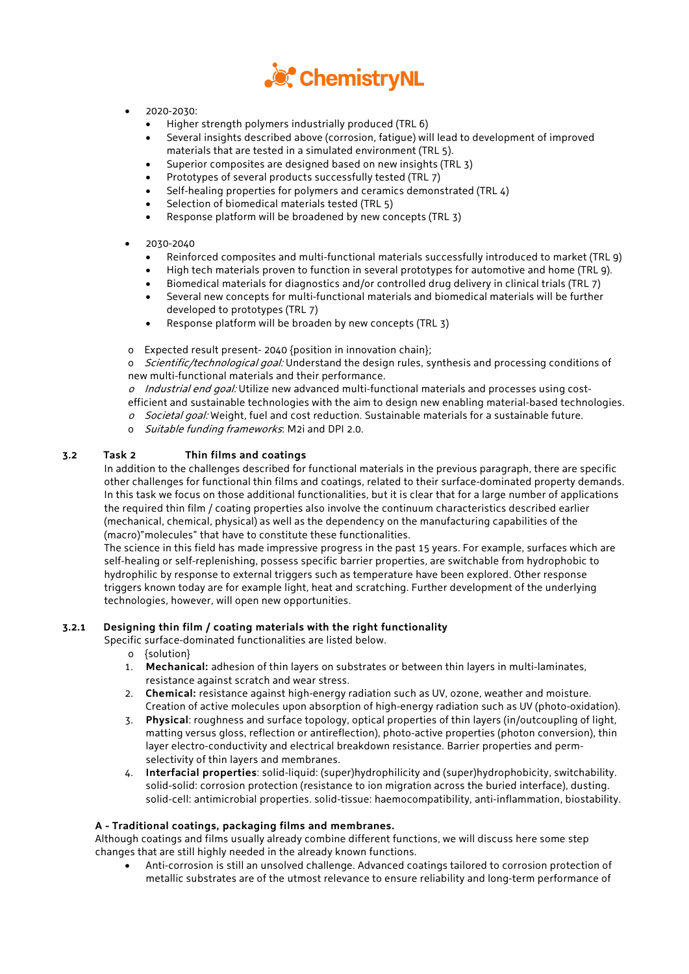

- 2020-2030:
	- Higher strength polymers industrially produced (TRL 6)
	- Several insights described above (corrosion, fatigue) will lead to development of improved materials that are tested in a simulated environment (TRL 5).
	- Superior composites are designed based on new insights (TRL 3)
	- Prototypes of several products successfully tested (TRL 7)
	- Self-healing properties for polymers and ceramics demonstrated (TRL 4)
	- Selection of biomedical materials tested (TRL 5)
	- Response platform will be broadened by new concepts (TRL 3)

## • 2030-2040

- Reinforced composites and multi-functional materials successfully introduced to market (TRL 9)
- High tech materials proven to function in several prototypes for automotive and home (TRL 9).
- Biomedical materials for diagnostics and/or controlled drug delivery in clinical trials (TRL 7)
- Several new concepts for multi-functional materials and biomedical materials will be further developed to prototypes (TRL 7)
- Response platform will be broaden by new concepts (TRL 3)
- o Expected result present- 2040 {position in innovation chain};

o *Scientific/technological goal:* Understand the design rules, synthesis and processing conditions of new multi-functional materials and their performance.

- $o$  Industrial end goal: Utilize new advanced multi-functional materials and processes using cost-
- efficient and sustainable technologies with the aim to design new enabling material-based technologies.
- o Societal goal: Weight, fuel and cost reduction. Sustainable materials for a sustainable future.
- o Suitable funding frameworks: M2i and DPI 2.0.

## **3.2 Task 2 Thin films and coatings**

In addition to the challenges described for functional materials in the previous paragraph, there are specific other challenges for functional thin films and coatings, related to their surface-dominated property demands. In this task we focus on those additional functionalities, but it is clear that for a large number of applications the required thin film / coating properties also involve the continuum characteristics described earlier (mechanical, chemical, physical) as well as the dependency on the manufacturing capabilities of the (macro)"molecules" that have to constitute these functionalities.

The science in this field has made impressive progress in the past 15 years. For example, surfaces which are self-healing or self-replenishing, possess specific barrier properties, are switchable from hydrophobic to hydrophilic by response to external triggers such as temperature have been explored. Other response triggers known today are for example light, heat and scratching. Further development of the underlying technologies, however, will open new opportunities.

## **3.2.1 Designing thin film / coating materials with the right functionality**

Specific surface-dominated functionalities are listed below.

- o {solution}
- 1. **Mechanical:** adhesion of thin layers on substrates or between thin layers in multi-laminates, resistance against scratch and wear stress.
- 2. **Chemical:** resistance against high-energy radiation such as UV, ozone, weather and moisture. Creation of active molecules upon absorption of high-energy radiation such as UV (photo-oxidation).
- 3. **Physical**: roughness and surface topology, optical properties of thin layers (in/outcoupling of light, matting versus gloss, reflection or antireflection), photo-active properties (photon conversion), thin layer electro-conductivity and electrical breakdown resistance. Barrier properties and permselectivity of thin layers and membranes.
- 4. **Interfacial properties**: solid-liquid: (super)hydrophilicity and (super)hydrophobicity, switchability. solid-solid: corrosion protection (resistance to ion migration across the buried interface), dusting. solid-cell: antimicrobial properties. solid-tissue: haemocompatibility, anti-inflammation, biostability.

## **A - Traditional coatings, packaging films and membranes.**

Although coatings and films usually already combine different functions, we will discuss here some step changes that are still highly needed in the already known functions.

• Anti-corrosion is still an unsolved challenge. Advanced coatings tailored to corrosion protection of metallic substrates are of the utmost relevance to ensure reliability and long-term performance of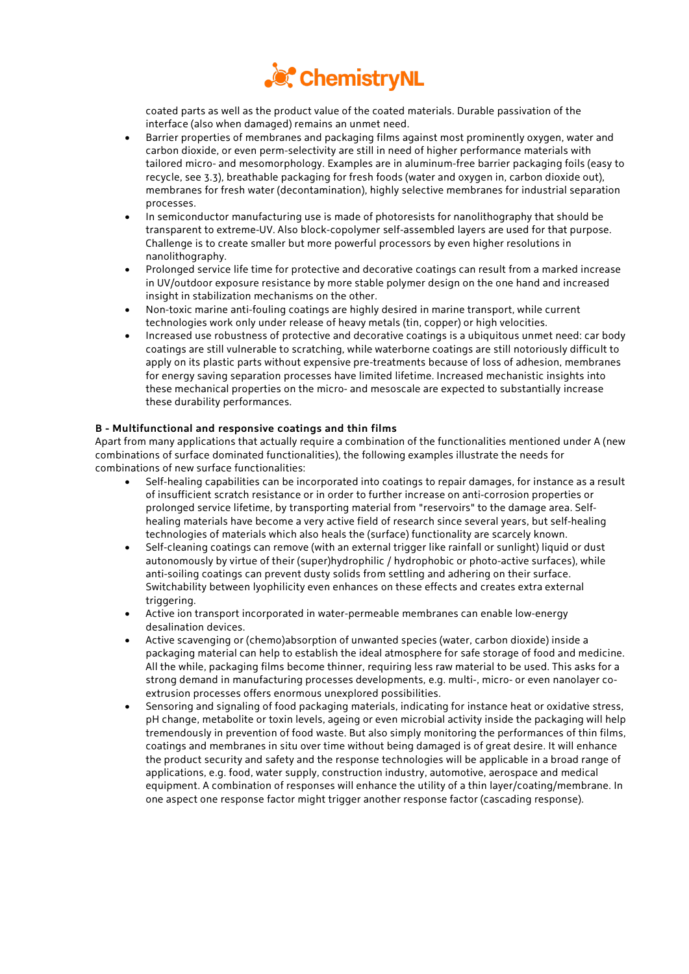

coated parts as well as the product value of the coated materials. Durable passivation of the interface (also when damaged) remains an unmet need.

- Barrier properties of membranes and packaging films against most prominently oxygen, water and carbon dioxide, or even perm-selectivity are still in need of higher performance materials with tailored micro- and mesomorphology. Examples are in aluminum-free barrier packaging foils (easy to recycle, see 3.3), breathable packaging for fresh foods (water and oxygen in, carbon dioxide out), membranes for fresh water (decontamination), highly selective membranes for industrial separation processes.
- In semiconductor manufacturing use is made of photoresists for nanolithography that should be transparent to extreme-UV. Also block-copolymer self-assembled layers are used for that purpose. Challenge is to create smaller but more powerful processors by even higher resolutions in nanolithography.
- Prolonged service life time for protective and decorative coatings can result from a marked increase in UV/outdoor exposure resistance by more stable polymer design on the one hand and increased insight in stabilization mechanisms on the other.
- Non-toxic marine anti-fouling coatings are highly desired in marine transport, while current technologies work only under release of heavy metals (tin, copper) or high velocities.
- Increased use robustness of protective and decorative coatings is a ubiquitous unmet need: car body coatings are still vulnerable to scratching, while waterborne coatings are still notoriously difficult to apply on its plastic parts without expensive pre-treatments because of loss of adhesion, membranes for energy saving separation processes have limited lifetime. Increased mechanistic insights into these mechanical properties on the micro- and mesoscale are expected to substantially increase these durability performances.

## **B - Multifunctional and responsive coatings and thin films**

Apart from many applications that actually require a combination of the functionalities mentioned under A (new combinations of surface dominated functionalities), the following examples illustrate the needs for combinations of new surface functionalities:

- Self-healing capabilities can be incorporated into coatings to repair damages, for instance as a result of insufficient scratch resistance or in order to further increase on anti-corrosion properties or prolonged service lifetime, by transporting material from "reservoirs" to the damage area. Selfhealing materials have become a very active field of research since several years, but self-healing technologies of materials which also heals the (surface) functionality are scarcely known.
- Self-cleaning coatings can remove (with an external trigger like rainfall or sunlight) liquid or dust autonomously by virtue of their (super)hydrophilic / hydrophobic or photo-active surfaces), while anti-soiling coatings can prevent dusty solids from settling and adhering on their surface. Switchability between lyophilicity even enhances on these effects and creates extra external triggering.
- Active ion transport incorporated in water-permeable membranes can enable low-energy desalination devices.
- Active scavenging or (chemo)absorption of unwanted species (water, carbon dioxide) inside a packaging material can help to establish the ideal atmosphere for safe storage of food and medicine. All the while, packaging films become thinner, requiring less raw material to be used. This asks for a strong demand in manufacturing processes developments, e.g. multi-, micro- or even nanolayer coextrusion processes offers enormous unexplored possibilities.
- Sensoring and signaling of food packaging materials, indicating for instance heat or oxidative stress, pH change, metabolite or toxin levels, ageing or even microbial activity inside the packaging will help tremendously in prevention of food waste. But also simply monitoring the performances of thin films, coatings and membranes in situ over time without being damaged is of great desire. It will enhance the product security and safety and the response technologies will be applicable in a broad range of applications, e.g. food, water supply, construction industry, automotive, aerospace and medical equipment. A combination of responses will enhance the utility of a thin layer/coating/membrane. In one aspect one response factor might trigger another response factor (cascading response).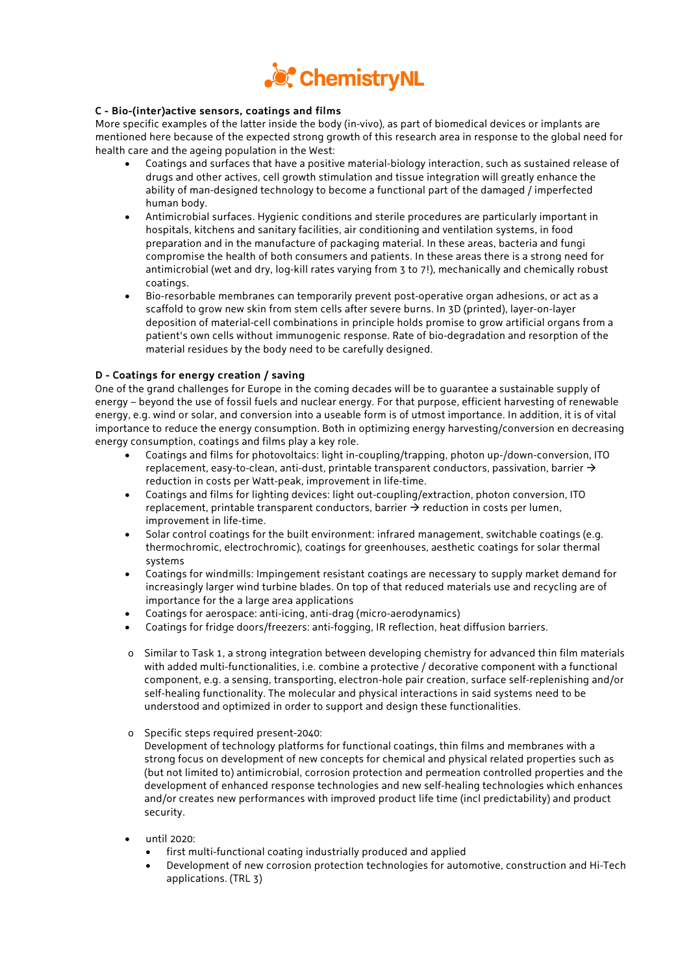

## **C - Bio-(inter)active sensors, coatings and films**

More specific examples of the latter inside the body (in-vivo), as part of biomedical devices or implants are mentioned here because of the expected strong growth of this research area in response to the global need for health care and the ageing population in the West:

- Coatings and surfaces that have a positive material-biology interaction, such as sustained release of drugs and other actives, cell growth stimulation and tissue integration will greatly enhance the ability of man-designed technology to become a functional part of the damaged / imperfected human body.
- Antimicrobial surfaces. Hygienic conditions and sterile procedures are particularly important in hospitals, kitchens and sanitary facilities, air conditioning and ventilation systems, in food preparation and in the manufacture of packaging material. In these areas, bacteria and fungi compromise the health of both consumers and patients. In these areas there is a strong need for antimicrobial (wet and dry, log-kill rates varying from 3 to 7!), mechanically and chemically robust coatings.
- Bio-resorbable membranes can temporarily prevent post-operative organ adhesions, or act as a scaffold to grow new skin from stem cells after severe burns. In 3D (printed), layer-on-layer deposition of material-cell combinations in principle holds promise to grow artificial organs from a patient's own cells without immunogenic response. Rate of bio-degradation and resorption of the material residues by the body need to be carefully designed.

## **D - Coatings for energy creation / saving**

One of the grand challenges for Europe in the coming decades will be to guarantee a sustainable supply of energy – beyond the use of fossil fuels and nuclear energy. For that purpose, efficient harvesting of renewable energy, e.g. wind or solar, and conversion into a useable form is of utmost importance. In addition, it is of vital importance to reduce the energy consumption. Both in optimizing energy harvesting/conversion en decreasing energy consumption, coatings and films play a key role.

- Coatings and films for photovoltaics: light in-coupling/trapping, photon up-/down-conversion, ITO replacement, easy-to-clean, anti-dust, printable transparent conductors, passivation, barrier  $\rightarrow$ reduction in costs per Watt-peak, improvement in life-time.
- Coatings and films for lighting devices: light out-coupling/extraction, photon conversion, ITO replacement, printable transparent conductors, barrier  $\rightarrow$  reduction in costs per lumen, improvement in life-time.
- Solar control coatings for the built environment: infrared management, switchable coatings (e.g. thermochromic, electrochromic), coatings for greenhouses, aesthetic coatings for solar thermal systems
- Coatings for windmills: Impingement resistant coatings are necessary to supply market demand for increasingly larger wind turbine blades. On top of that reduced materials use and recycling are of importance for the a large area applications
- Coatings for aerospace: anti-icing, anti-drag (micro-aerodynamics)
- Coatings for fridge doors/freezers: anti-fogging, IR reflection, heat diffusion barriers.
- o Similar to Task 1, a strong integration between developing chemistry for advanced thin film materials with added multi-functionalities, i.e. combine a protective / decorative component with a functional component, e.g. a sensing, transporting, electron-hole pair creation, surface self-replenishing and/or self-healing functionality. The molecular and physical interactions in said systems need to be understood and optimized in order to support and design these functionalities.
- o Specific steps required present-2040:

Development of technology platforms for functional coatings, thin films and membranes with a strong focus on development of new concepts for chemical and physical related properties such as (but not limited to) antimicrobial, corrosion protection and permeation controlled properties and the development of enhanced response technologies and new self-healing technologies which enhances and/or creates new performances with improved product life time (incl predictability) and product security.

- until 2020:
	- first multi-functional coating industrially produced and applied
	- Development of new corrosion protection technologies for automotive, construction and Hi-Tech applications. (TRL 3)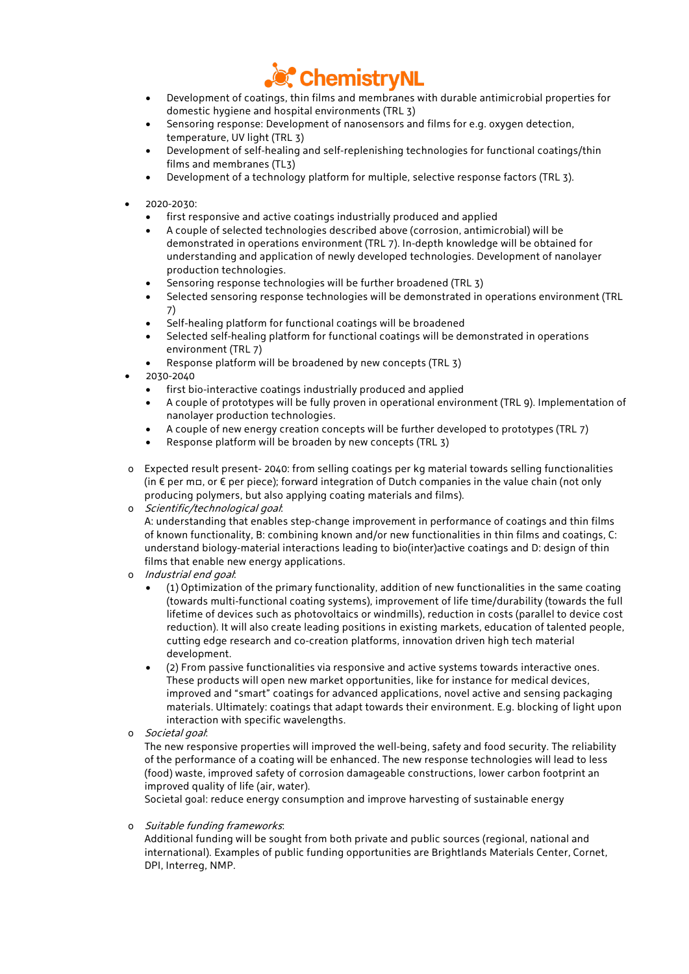

- Development of coatings, thin films and membranes with durable antimicrobial properties for domestic hygiene and hospital environments (TRL 3)
- Sensoring response: Development of nanosensors and films for e.g. oxygen detection, temperature, UV light (TRL 3)
- Development of self-healing and self-replenishing technologies for functional coatings/thin films and membranes (TL3)
- Development of a technology platform for multiple, selective response factors (TRL 3).
- 2020-2030:
	- first responsive and active coatings industrially produced and applied
	- A couple of selected technologies described above (corrosion, antimicrobial) will be demonstrated in operations environment (TRL 7). In-depth knowledge will be obtained for understanding and application of newly developed technologies. Development of nanolayer production technologies.
	- Sensoring response technologies will be further broadened (TRL 3)
	- Selected sensoring response technologies will be demonstrated in operations environment (TRL 7)
	- Self-healing platform for functional coatings will be broadened
	- Selected self-healing platform for functional coatings will be demonstrated in operations environment (TRL 7)
	- Response platform will be broadened by new concepts (TRL 3)
- 2030-2040
	- first bio-interactive coatings industrially produced and applied
	- A couple of prototypes will be fully proven in operational environment (TRL 9). Implementation of nanolayer production technologies.
	- A couple of new energy creation concepts will be further developed to prototypes (TRL 7)
	- Response platform will be broaden by new concepts (TRL 3)
- o Expected result present- 2040: from selling coatings per kg material towards selling functionalities (in € per m□, or € per piece); forward integration of Dutch companies in the value chain (not only producing polymers, but also applying coating materials and films).

o Scientific/technological goal:

A: understanding that enables step-change improvement in performance of coatings and thin films of known functionality, B: combining known and/or new functionalities in thin films and coatings, C: understand biology-material interactions leading to bio(inter)active coatings and D: design of thin films that enable new energy applications.

- o Industrial end goal:
	- (1) Optimization of the primary functionality, addition of new functionalities in the same coating (towards multi-functional coating systems), improvement of life time/durability (towards the full lifetime of devices such as photovoltaics or windmills), reduction in costs (parallel to device cost reduction). It will also create leading positions in existing markets, education of talented people, cutting edge research and co-creation platforms, innovation driven high tech material development.
	- (2) From passive functionalities via responsive and active systems towards interactive ones. These products will open new market opportunities, like for instance for medical devices, improved and "smart" coatings for advanced applications, novel active and sensing packaging materials. Ultimately: coatings that adapt towards their environment. E.g. blocking of light upon interaction with specific wavelengths.
- o Societal goal:

The new responsive properties will improved the well-being, safety and food security. The reliability of the performance of a coating will be enhanced. The new response technologies will lead to less (food) waste, improved safety of corrosion damageable constructions, lower carbon footprint an improved quality of life (air, water).

Societal goal: reduce energy consumption and improve harvesting of sustainable energy

o Suitable funding frameworks:

Additional funding will be sought from both private and public sources (regional, national and international). Examples of public funding opportunities are Brightlands Materials Center, Cornet, DPI, Interreg, NMP.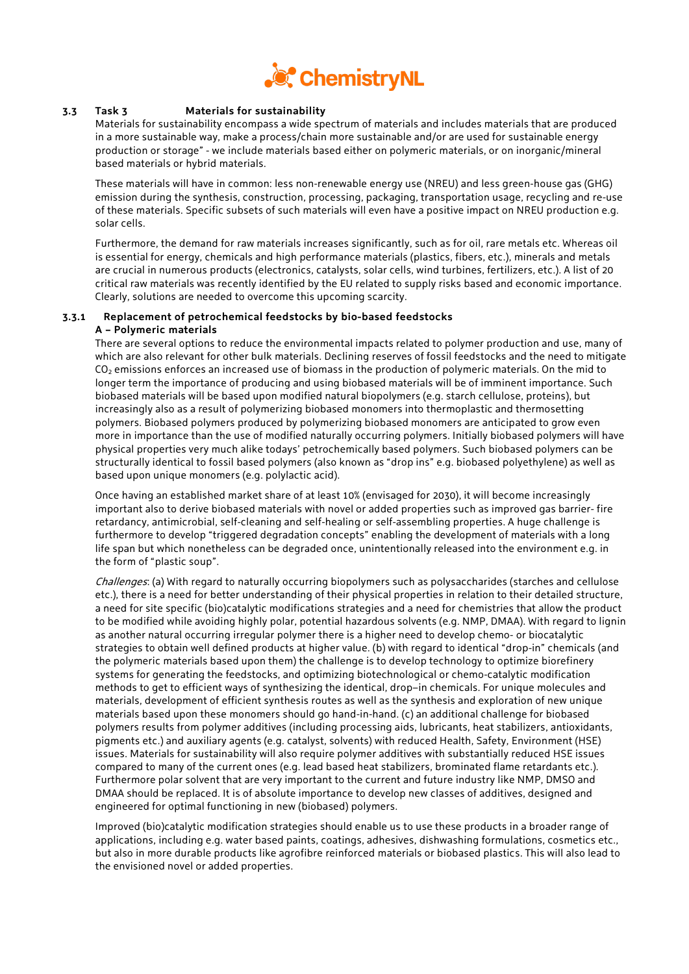

## **3.3 Task 3 Materials for sustainability**

Materials for sustainability encompass a wide spectrum of materials and includes materials that are produced in a more sustainable way, make a process/chain more sustainable and/or are used for sustainable energy production or storage" - we include materials based either on polymeric materials, or on inorganic/mineral based materials or hybrid materials.

These materials will have in common: less non-renewable energy use (NREU) and less green-house gas (GHG) emission during the synthesis, construction, processing, packaging, transportation usage, recycling and re-use of these materials. Specific subsets of such materials will even have a positive impact on NREU production e.g. solar cells.

Furthermore, the demand for raw materials increases significantly, such as for oil, rare metals etc. Whereas oil is essential for energy, chemicals and high performance materials (plastics, fibers, etc.), minerals and metals are crucial in numerous products (electronics, catalysts, solar cells, wind turbines, fertilizers, etc.). A list of 20 critical raw materials was recently identified by the EU related to supply risks based and economic importance. Clearly, solutions are needed to overcome this upcoming scarcity.

#### **3.3.1 Replacement of petrochemical feedstocks by bio-based feedstocks A – Polymeric materials**

There are several options to reduce the environmental impacts related to polymer production and use, many of which are also relevant for other bulk materials. Declining reserves of fossil feedstocks and the need to mitigate  $CO<sub>2</sub>$  emissions enforces an increased use of biomass in the production of polymeric materials. On the mid to longer term the importance of producing and using biobased materials will be of imminent importance. Such biobased materials will be based upon modified natural biopolymers (e.g. starch cellulose, proteins), but increasingly also as a result of polymerizing biobased monomers into thermoplastic and thermosetting polymers. Biobased polymers produced by polymerizing biobased monomers are anticipated to grow even more in importance than the use of modified naturally occurring polymers. Initially biobased polymers will have physical properties very much alike todays' petrochemically based polymers. Such biobased polymers can be structurally identical to fossil based polymers (also known as "drop ins" e.g. biobased polyethylene) as well as based upon unique monomers (e.g. polylactic acid).

Once having an established market share of at least 10% (envisaged for 2030), it will become increasingly important also to derive biobased materials with novel or added properties such as improved gas barrier- fire retardancy, antimicrobial, self-cleaning and self-healing or self-assembling properties. A huge challenge is furthermore to develop "triggered degradation concepts" enabling the development of materials with a long life span but which nonetheless can be degraded once, unintentionally released into the environment e.g. in the form of "plastic soup".

Challenges: (a) With regard to naturally occurring biopolymers such as polysaccharides (starches and cellulose etc.), there is a need for better understanding of their physical properties in relation to their detailed structure, a need for site specific (bio)catalytic modifications strategies and a need for chemistries that allow the product to be modified while avoiding highly polar, potential hazardous solvents (e.g. NMP, DMAA). With regard to lignin as another natural occurring irregular polymer there is a higher need to develop chemo- or biocatalytic strategies to obtain well defined products at higher value. (b) with regard to identical "drop-in" chemicals (and the polymeric materials based upon them) the challenge is to develop technology to optimize biorefinery systems for generating the feedstocks, and optimizing biotechnological or chemo-catalytic modification methods to get to efficient ways of synthesizing the identical, drop–in chemicals. For unique molecules and materials, development of efficient synthesis routes as well as the synthesis and exploration of new unique materials based upon these monomers should go hand-in-hand. (c) an additional challenge for biobased polymers results from polymer additives (including processing aids, lubricants, heat stabilizers, antioxidants, pigments etc.) and auxiliary agents (e.g. catalyst, solvents) with reduced Health, Safety, Environment (HSE) issues. Materials for sustainability will also require polymer additives with substantially reduced HSE issues compared to many of the current ones (e.g. lead based heat stabilizers, brominated flame retardants etc.). Furthermore polar solvent that are very important to the current and future industry like NMP, DMSO and DMAA should be replaced. It is of absolute importance to develop new classes of additives, designed and engineered for optimal functioning in new (biobased) polymers.

Improved (bio)catalytic modification strategies should enable us to use these products in a broader range of applications, including e.g. water based paints, coatings, adhesives, dishwashing formulations, cosmetics etc., but also in more durable products like agrofibre reinforced materials or biobased plastics. This will also lead to the envisioned novel or added properties.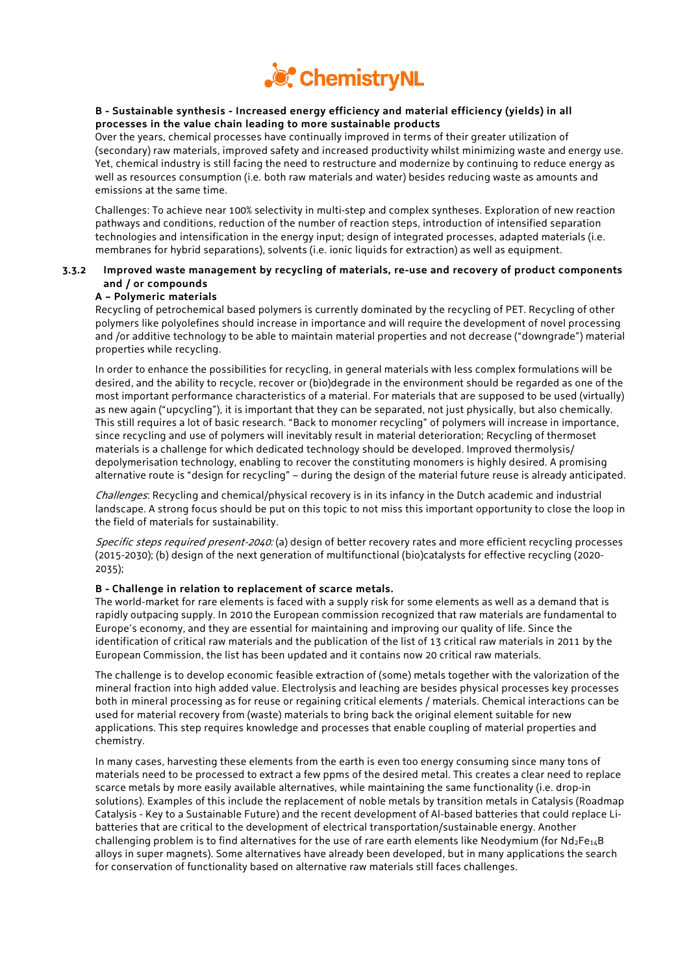

## **B - Sustainable synthesis - Increased energy efficiency and material efficiency (yields) in all processes in the value chain leading to more sustainable products**

Over the years, chemical processes have continually improved in terms of their greater utilization of (secondary) raw materials, improved safety and increased productivity whilst minimizing waste and energy use. Yet, chemical industry is still facing the need to restructure and modernize by continuing to reduce energy as well as resources consumption (i.e. both raw materials and water) besides reducing waste as amounts and emissions at the same time.

Challenges: To achieve near 100% selectivity in multi-step and complex syntheses. Exploration of new reaction pathways and conditions, reduction of the number of reaction steps, introduction of intensified separation technologies and intensification in the energy input; design of integrated processes, adapted materials (i.e. membranes for hybrid separations), solvents (i.e. ionic liquids for extraction) as well as equipment.

## **3.3.2 Improved waste management by recycling of materials, re-use and recovery of product components and / or compounds**

## **A – Polymeric materials**

Recycling of petrochemical based polymers is currently dominated by the recycling of PET. Recycling of other polymers like polyolefines should increase in importance and will require the development of novel processing and /or additive technology to be able to maintain material properties and not decrease ("downgrade") material properties while recycling.

In order to enhance the possibilities for recycling, in general materials with less complex formulations will be desired, and the ability to recycle, recover or (bio)degrade in the environment should be regarded as one of the most important performance characteristics of a material. For materials that are supposed to be used (virtually) as new again ("upcycling"), it is important that they can be separated, not just physically, but also chemically. This still requires a lot of basic research. "Back to monomer recycling" of polymers will increase in importance, since recycling and use of polymers will inevitably result in material deterioration; Recycling of thermoset materials is a challenge for which dedicated technology should be developed. Improved thermolysis/ depolymerisation technology, enabling to recover the constituting monomers is highly desired. A promising alternative route is "design for recycling" – during the design of the material future reuse is already anticipated.

Challenges: Recycling and chemical/physical recovery is in its infancy in the Dutch academic and industrial landscape. A strong focus should be put on this topic to not miss this important opportunity to close the loop in the field of materials for sustainability.

Specific steps required present-2040: (a) design of better recovery rates and more efficient recycling processes (2015-2030); (b) design of the next generation of multifunctional (bio)catalysts for effective recycling (2020- 2035);

## **B - Challenge in relation to replacement of scarce metals.**

The world-market for rare elements is faced with a supply risk for some elements as well as a demand that is rapidly outpacing supply. In 2010 the European commission recognized that raw materials are fundamental to Europe's economy, and they are essential for maintaining and improving our quality of life. Since the identification of critical raw materials and the publication of the list of 13 critical raw materials in 2011 by the European Commission, the list has been updated and it contains now 20 critical raw materials.

The challenge is to develop economic feasible extraction of (some) metals together with the valorization of the mineral fraction into high added value. Electrolysis and leaching are besides physical processes key processes both in mineral processing as for reuse or regaining critical elements / materials. Chemical interactions can be used for material recovery from (waste) materials to bring back the original element suitable for new applications. This step requires knowledge and processes that enable coupling of material properties and chemistry.

In many cases, harvesting these elements from the earth is even too energy consuming since many tons of materials need to be processed to extract a few ppms of the desired metal. This creates a clear need to replace scarce metals by more easily available alternatives, while maintaining the same functionality (i.e. drop-in solutions). Examples of this include the replacement of noble metals by transition metals in Catalysis (Roadmap Catalysis - Key to a Sustainable Future) and the recent development of Al-based batteries that could replace Libatteries that are critical to the development of electrical transportation/sustainable energy. Another challenging problem is to find alternatives for the use of rare earth elements like Neodymium (for  $Nd_2Fe_{14}B$ alloys in super magnets). Some alternatives have already been developed, but in many applications the search for conservation of functionality based on alternative raw materials still faces challenges.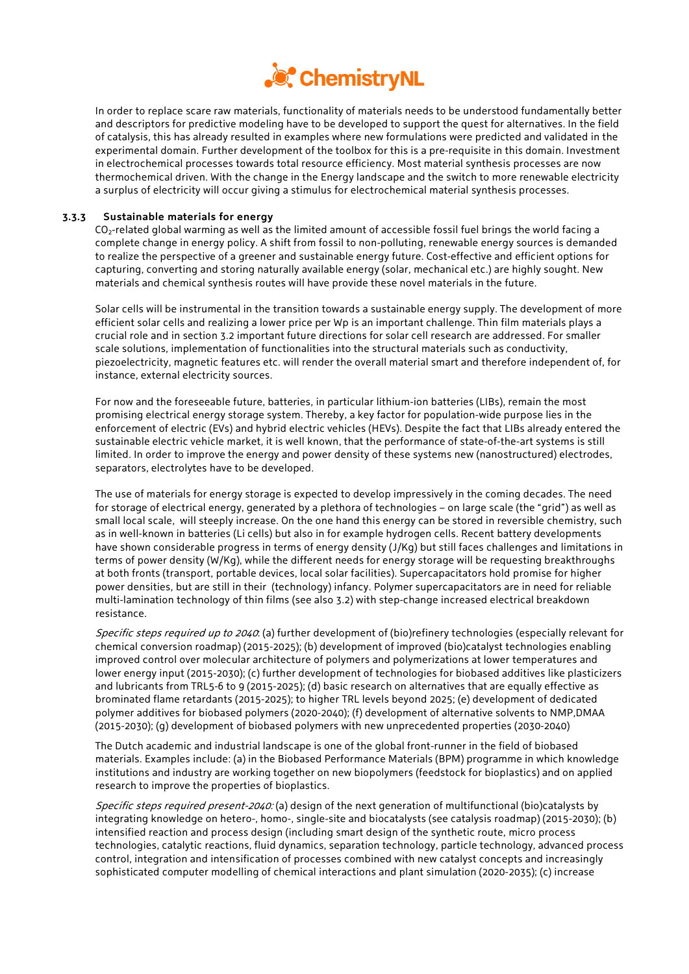

In order to replace scare raw materials, functionality of materials needs to be understood fundamentally better and descriptors for predictive modeling have to be developed to support the quest for alternatives. In the field of catalysis, this has already resulted in examples where new formulations were predicted and validated in the experimental domain. Further development of the toolbox for this is a pre-requisite in this domain. Investment in electrochemical processes towards total resource efficiency. Most material synthesis processes are now thermochemical driven. With the change in the Energy landscape and the switch to more renewable electricity a surplus of electricity will occur giving a stimulus for electrochemical material synthesis processes.

#### **3.3.3 Sustainable materials for energy**

CO2-related global warming as well as the limited amount of accessible fossil fuel brings the world facing a complete change in energy policy. A shift from fossil to non-polluting, renewable energy sources is demanded to realize the perspective of a greener and sustainable energy future. Cost-effective and efficient options for capturing, converting and storing naturally available energy (solar, mechanical etc.) are highly sought. New materials and chemical synthesis routes will have provide these novel materials in the future.

Solar cells will be instrumental in the transition towards a sustainable energy supply. The development of more efficient solar cells and realizing a lower price per Wp is an important challenge. Thin film materials plays a crucial role and in section 3.2 important future directions for solar cell research are addressed. For smaller scale solutions, implementation of functionalities into the structural materials such as conductivity, piezoelectricity, magnetic features etc. will render the overall material smart and therefore independent of, for instance, external electricity sources.

For now and the foreseeable future, batteries, in particular lithium-ion batteries (LIBs), remain the most promising electrical energy storage system. Thereby, a key factor for population-wide purpose lies in the enforcement of electric (EVs) and hybrid electric vehicles (HEVs). Despite the fact that LIBs already entered the sustainable electric vehicle market, it is well known, that the performance of state-of-the-art systems is still limited. In order to improve the energy and power density of these systems new (nanostructured) electrodes, separators, electrolytes have to be developed.

The use of materials for energy storage is expected to develop impressively in the coming decades. The need for storage of electrical energy, generated by a plethora of technologies – on large scale (the "grid") as well as small local scale, will steeply increase. On the one hand this energy can be stored in reversible chemistry, such as in well-known in batteries (Li cells) but also in for example hydrogen cells. Recent battery developments have shown considerable progress in terms of energy density (J/Kg) but still faces challenges and limitations in terms of power density (W/Kg), while the different needs for energy storage will be requesting breakthroughs at both fronts (transport, portable devices, local solar facilities). Supercapacitators hold promise for higher power densities, but are still in their (technology) infancy. Polymer supercapacitators are in need for reliable multi-lamination technology of thin films (see also 3.2) with step-change increased electrical breakdown resistance.

Specific steps required up to 2040. (a) further development of (bio)refinery technologies (especially relevant for chemical conversion roadmap) (2015-2025); (b) development of improved (bio)catalyst technologies enabling improved control over molecular architecture of polymers and polymerizations at lower temperatures and lower energy input (2015-2030); (c) further development of technologies for biobased additives like plasticizers and lubricants from TRL5-6 to 9 (2015-2025); (d) basic research on alternatives that are equally effective as brominated flame retardants (2015-2025); to higher TRL levels beyond 2025; (e) development of dedicated polymer additives for biobased polymers (2020-2040); (f) development of alternative solvents to NMP,DMAA (2015-2030); (g) development of biobased polymers with new unprecedented properties (2030-2040)

The Dutch academic and industrial landscape is one of the global front-runner in the field of biobased materials. Examples include: (a) in the Biobased Performance Materials (BPM) programme in which knowledge institutions and industry are working together on new biopolymers (feedstock for bioplastics) and on applied research to improve the properties of bioplastics.

Specific steps required present-2040: (a) design of the next generation of multifunctional (bio)catalysts by integrating knowledge on hetero-, homo-, single-site and biocatalysts (see catalysis roadmap) (2015-2030); (b) intensified reaction and process design (including smart design of the synthetic route, micro process technologies, catalytic reactions, fluid dynamics, separation technology, particle technology, advanced process control, integration and intensification of processes combined with new catalyst concepts and increasingly sophisticated computer modelling of chemical interactions and plant simulation (2020-2035); (c) increase